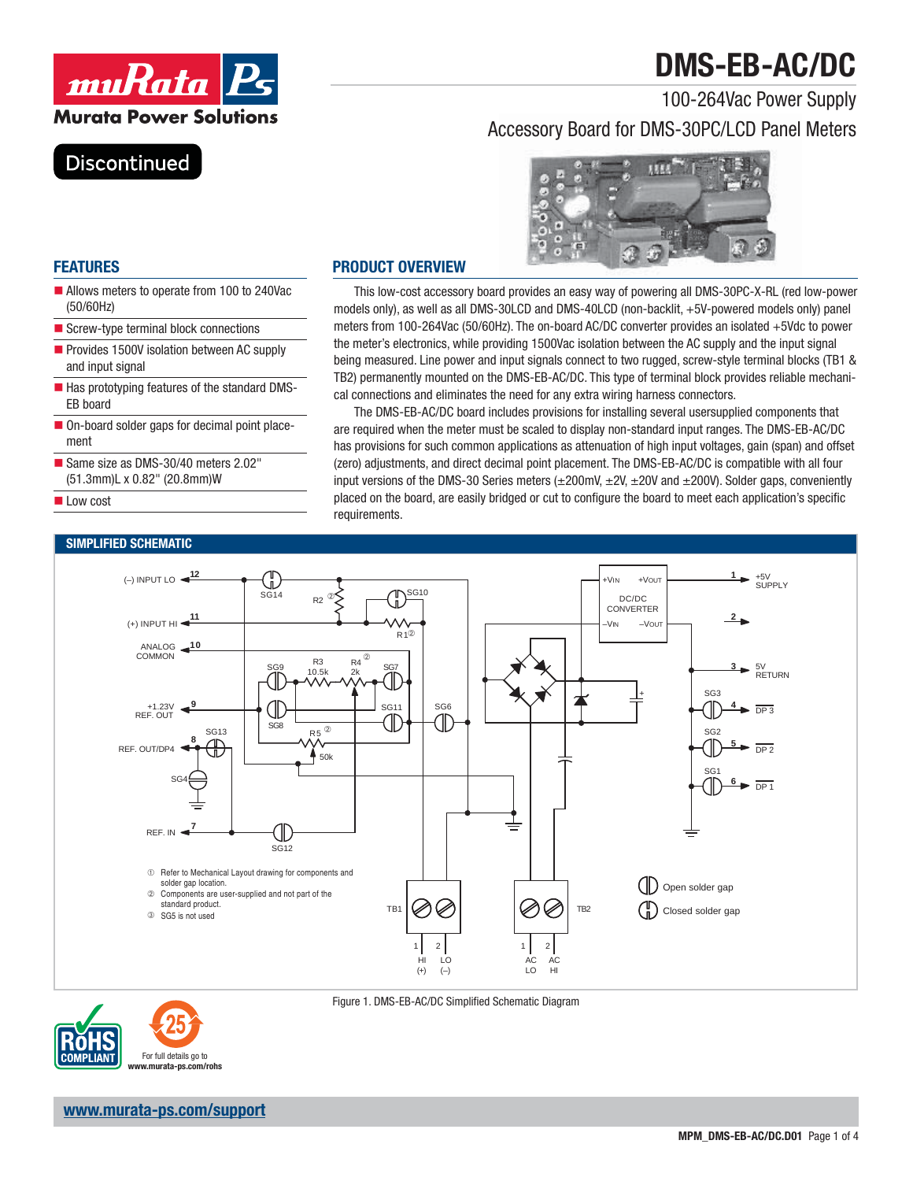# **DMS-EB-AC/DC**



### 100-264Vac Power Supply Accessory Board for DMS-30PC/LCD Panel Meters

### **Discontinued**



#### **FEATURES**

- Allows meters to operate from 100 to 240Vac (50/60Hz)
- Screw-type terminal block connections
- Provides 1500V isolation between AC supply and input signal
- Has prototyping features of the standard DMS-EB board
- On-board solder gaps for decimal point placement
- Same size as DMS-30/40 meters 2.02" (51.3mm)L x 0.82" (20.8mm)W
- **Low cost**

#### **SIMPLIFIED SCHEMATIC**

#### **PRODUCT OVERVIEW**

This low-cost accessory board provides an easy way of powering all DMS-30PC-X-RL (red low-power models only), as well as all DMS-30LCD and DMS-40LCD (non-backlit, +5V-powered models only) panel meters from 100-264Vac (50/60Hz). The on-board AC/DC converter provides an isolated +5Vdc to power the meter's electronics, while providing 1500Vac isolation between the AC supply and the input signal being measured. Line power and input signals connect to two rugged, screw-style terminal blocks (TB1 & TB2) permanently mounted on the DMS-EB-AC/DC. This type of terminal block provides reliable mechanical connections and eliminates the need for any extra wiring harness connectors.

The DMS-EB-AC/DC board includes provisions for installing several usersupplied components that are required when the meter must be scaled to display non-standard input ranges. The DMS-EB-AC/DC has provisions for such common applications as attenuation of high input voltages, gain (span) and offset (zero) adjustments, and direct decimal point placement. The DMS-EB-AC/DC is compatible with all four input versions of the DMS-30 Series meters  $(\pm 200 \text{mV}, \pm 2V, \pm 20V, \text{and } \pm 200V)$ . Solder gaps, conveniently placed on the board, are easily bridged or cut to configure the board to meet each application's specific requirements.





Figure 1. DMS-EB-AC/DC Simplified Schematic Diagram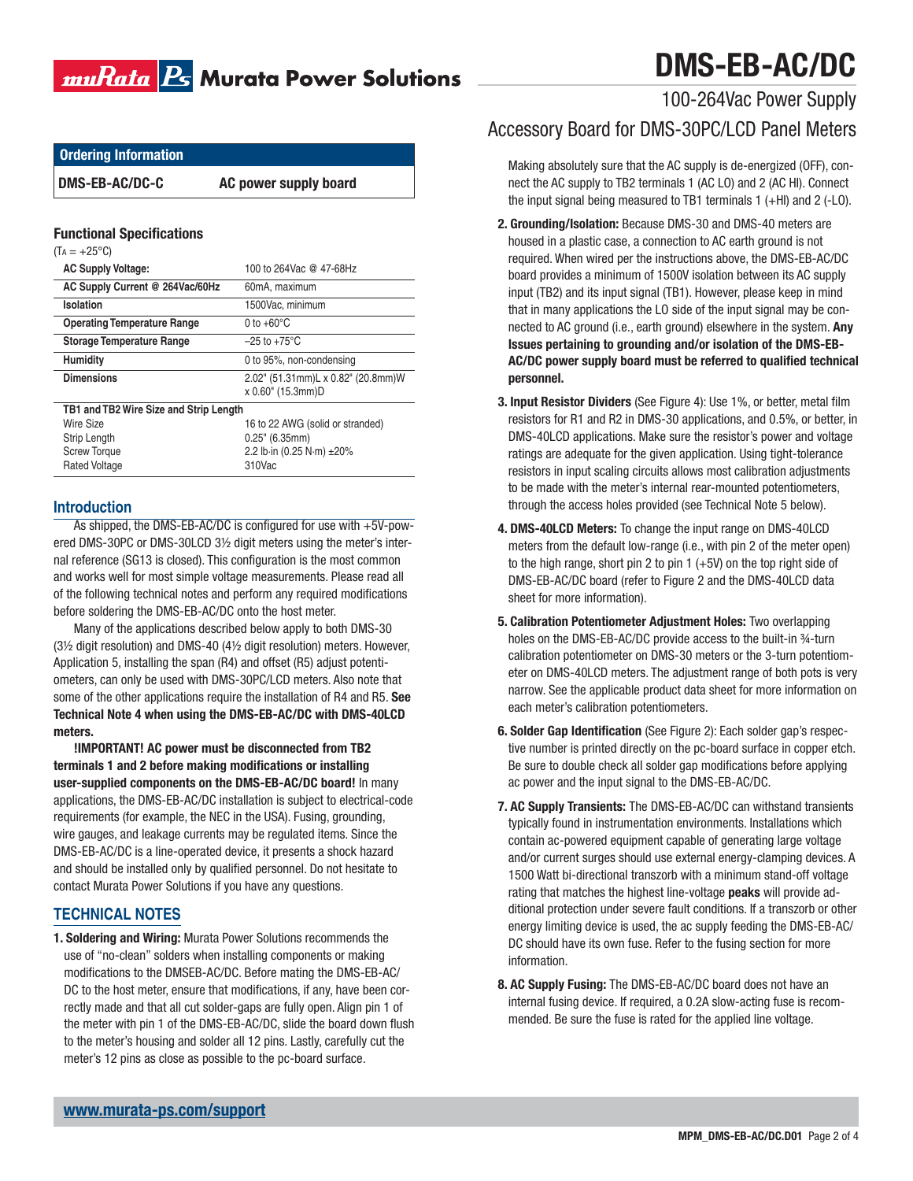# muRata <mark>Ps</mark> Murata Power Solutions

# **DMS-EB-AC/DC**

### 100-264Vac Power Supply

### Accessory Board for DMS-30PC/LCD Panel Meters

 Making absolutely sure that the AC supply is de-energized (OFF), connect the AC supply to TB2 terminals 1 (AC LO) and 2 (AC HI). Connect the input signal being measured to TB1 terminals 1 (+HI) and 2 (-LO).

- **2. Grounding/Isolation:** Because DMS-30 and DMS-40 meters are housed in a plastic case, a connection to AC earth ground is not required. When wired per the instructions above, the DMS-EB-AC/DC board provides a minimum of 1500V isolation between its AC supply input (TB2) and its input signal (TB1). However, please keep in mind that in many applications the LO side of the input signal may be connected to AC ground (i.e., earth ground) elsewhere in the system. **Any Issues pertaining to grounding and/or isolation of the DMS-EB-**AC/DC power supply board must be referred to qualified technical **personnel.**
- **3. Input Resistor Dividers** (See Figure 4): Use 1%, or better, metal film resistors for R1 and R2 in DMS-30 applications, and 0.5%, or better, in DMS-40LCD applications. Make sure the resistor's power and voltage ratings are adequate for the given application. Using tight-tolerance resistors in input scaling circuits allows most calibration adjustments to be made with the meter's internal rear-mounted potentiometers, through the access holes provided (see Technical Note 5 below).
- **4. DMS-40LCD Meters:** To change the input range on DMS-40LCD meters from the default low-range (i.e., with pin 2 of the meter open) to the high range, short pin 2 to pin 1  $(+5V)$  on the top right side of DMS-EB-AC/DC board (refer to Figure 2 and the DMS-40LCD data sheet for more information).
- **5. Calibration Potentiometer Adjustment Holes:** Two overlapping holes on the DMS-EB-AC/DC provide access to the built-in 34-turn calibration potentiometer on DMS-30 meters or the 3-turn potentiometer on DMS-40LCD meters. The adjustment range of both pots is very narrow. See the applicable product data sheet for more information on each meter's calibration potentiometers.
- **6. Solder Gap Identification** (See Figure 2): Each solder gap's respective number is printed directly on the pc-board surface in copper etch. Be sure to double check all solder gap modifications before applying ac power and the input signal to the DMS-EB-AC/DC.
- **7. AC Supply Transients:** The DMS-EB-AC/DC can withstand transients typically found in instrumentation environments. Installations which contain ac-powered equipment capable of generating large voltage and/or current surges should use external energy-clamping devices. A 1500 Watt bi-directional transzorb with a minimum stand-off voltage rating that matches the highest line-voltage **peaks** will provide additional protection under severe fault conditions. If a transzorb or other energy limiting device is used, the ac supply feeding the DMS-EB-AC/ DC should have its own fuse. Refer to the fusing section for more information.
- **8. AC Supply Fusing:** The DMS-EB-AC/DC board does not have an internal fusing device. If required, a 0.2A slow-acting fuse is recommended. Be sure the fuse is rated for the applied line voltage.

**Ordering Information**

**DMS-EB-AC/DC-C AC power supply board**

#### **Functional Specifications**

| $(T_A = +25^{\circ}C)$ |
|------------------------|
|                        |

| <b>AC Supply Voltage:</b>              | 100 to 264Vac @ 47-68Hz                |
|----------------------------------------|----------------------------------------|
| AC Supply Current @ 264Vac/60Hz        | 60mA, maximum                          |
| Isolation                              | 1500Vac, minimum                       |
| <b>Operating Temperature Range</b>     | 0 to $+60^{\circ}$ C                   |
| <b>Storage Temperature Range</b>       | $-25$ to $+75^{\circ}$ C               |
| <b>Humidity</b>                        | 0 to 95%, non-condensing               |
| <b>Dimensions</b>                      | 2.02" (51.31mm)L x 0.82" (20.8mm)W     |
|                                        | x 0.60" (15.3mm)D                      |
| TB1 and TB2 Wire Size and Strip Length |                                        |
| Wire Size                              | 16 to 22 AWG (solid or stranded)       |
| Strip Length                           | $0.25$ " (6.35mm)                      |
| <b>Screw Torque</b>                    | 2.2 lb in (0.25 N $\cdot$ m) $\pm$ 20% |
| <b>Rated Voltage</b>                   | 310Vac                                 |

#### **Introduction**

As shipped, the DMS-EB-AC/DC is configured for use with  $+5V$ -powered DMS-30PC or DMS-30LCD 3½ digit meters using the meter's internal reference (SG13 is closed). This configuration is the most common and works well for most simple voltage measurements. Please read all of the following technical notes and perform any required modifications before soldering the DMS-EB-AC/DC onto the host meter.

Many of the applications described below apply to both DMS-30 (3½ digit resolution) and DMS-40 (4½ digit resolution) meters. However, Application 5, installing the span (R4) and offset (R5) adjust potentiometers, can only be used with DMS-30PC/LCD meters. Also note that some of the other applications require the installation of R4 and R5. **See Technical Note 4 when using the DMS-EB-AC/DC with DMS-40LCD meters.**

**!IMPORTANT! AC power must be disconnected from TB2**  terminals 1 and 2 before making modifications or installing **user-supplied components on the DMS-EB-AC/DC board!** In many applications, the DMS-EB-AC/DC installation is subject to electrical-code requirements (for example, the NEC in the USA). Fusing, grounding, wire gauges, and leakage currents may be regulated items. Since the DMS-EB-AC/DC is a line-operated device, it presents a shock hazard and should be installed only by qualified personnel. Do not hesitate to contact Murata Power Solutions if you have any questions.

#### **TECHNICAL NOTES**

**1. Soldering and Wiring:** Murata Power Solutions recommends the use of "no-clean" solders when installing components or making modifications to the DMSEB-AC/DC. Before mating the DMS-EB-AC/ DC to the host meter, ensure that modifications, if any, have been correctly made and that all cut solder-gaps are fully open. Align pin 1 of the meter with pin 1 of the DMS-EB-AC/DC, slide the board down flush to the meter's housing and solder all 12 pins. Lastly, carefully cut the meter's 12 pins as close as possible to the pc-board surface.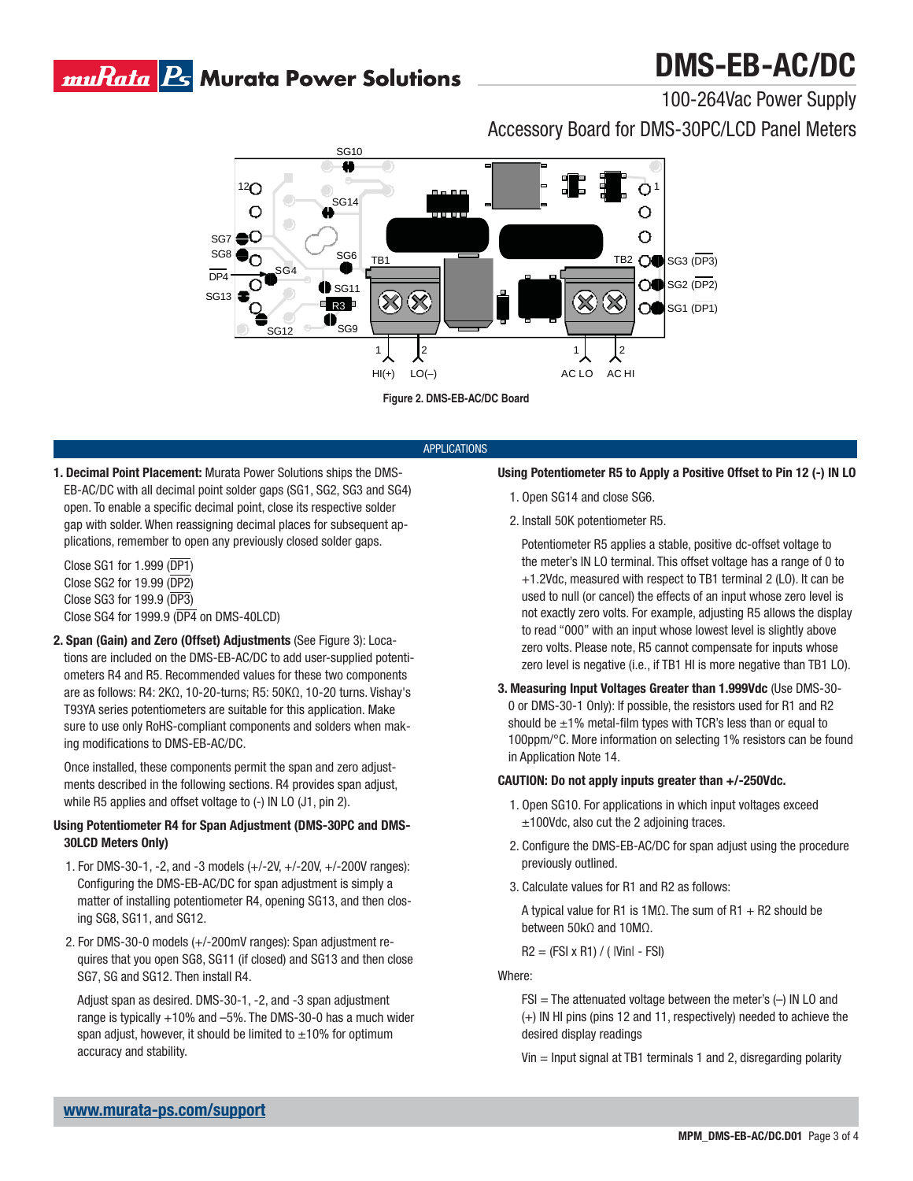## muRata <mark>Ps</mark> Murata Power Solutions

# **DMS-EB-AC/DC**

100-264Vac Power Supply

Accessory Board for DMS-30PC/LCD Panel Meters



**Figure 2. DMS-EB-AC/DC Board**

#### APPLICATIONS

- **1. Decimal Point Placement:** Murata Power Solutions ships the DMS-EB-AC/DC with all decimal point solder gaps (SG1, SG2, SG3 and SG4) open. To enable a specific decimal point, close its respective solder gap with solder. When reassigning decimal places for subsequent applications, remember to open any previously closed solder gaps.
	- Close SG1 for 1.999 (DP1) Close SG2 for 19.99 (DP2) Close SG3 for 199.9 (DP3) Close SG4 for 1999.9 (DP4 on DMS-40LCD)
- **2. Span (Gain) and Zero (Offset) Adjustments** (See Figure 3): Locations are included on the DMS-EB-AC/DC to add user-supplied potentiometers R4 and R5. Recommended values for these two components are as follows: R4: 2KΩ, 10-20-turns; R5: 50KΩ, 10-20 turns. Vishay's T93YA series potentiometers are suitable for this application. Make sure to use only RoHS-compliant components and solders when making modifications to DMS-EB-AC/DC.

 Once installed, these components permit the span and zero adjustments described in the following sections. R4 provides span adjust, while R5 applies and offset voltage to (-) IN LO (J1, pin 2).

#### **Using Potentiometer R4 for Span Adjustment (DMS-30PC and DMS-30LCD Meters Only)**

- 1. For DMS-30-1, -2, and -3 models (+/-2V, +/-20V, +/-200V ranges): Configuring the DMS-EB-AC/DC for span adjustment is simply a matter of installing potentiometer R4, opening SG13, and then closing SG8, SG11, and SG12.
- 2. For DMS-30-0 models (+/-200mV ranges): Span adjustment requires that you open SG8, SG11 (if closed) and SG13 and then close SG7, SG and SG12. Then install R4.

 Adjust span as desired. DMS-30-1, -2, and -3 span adjustment range is typically +10% and –5%. The DMS-30-0 has a much wider span adjust, however, it should be limited to  $\pm 10\%$  for optimum accuracy and stability.

#### **Using Potentiometer R5 to Apply a Positive Offset to Pin 12 (-) IN LO**

- 1. Open SG14 and close SG6.
- 2. Install 50K potentiometer R5.

 Potentiometer R5 applies a stable, positive dc-offset voltage to the meter's IN LO terminal. This offset voltage has a range of 0 to +1.2Vdc, measured with respect to TB1 terminal 2 (LO). It can be used to null (or cancel) the effects of an input whose zero level is not exactly zero volts. For example, adjusting R5 allows the display to read "000" with an input whose lowest level is slightly above zero volts. Please note, R5 cannot compensate for inputs whose zero level is negative (i.e., if TB1 HI is more negative than TB1 LO).

**3. Measuring Input Voltages Greater than 1.999Vdc** (Use DMS-30- 0 or DMS-30-1 Only): If possible, the resistors used for R1 and R2 should be  $\pm 1\%$  metal-film types with TCR's less than or equal to 100ppm/°C. More information on selecting 1% resistors can be found in Application Note 14.

#### **CAUTION: Do not apply inputs greater than +/-250Vdc.**

- 1. Open SG10. For applications in which input voltages exceed ±100Vdc, also cut the 2 adjoining traces.
- 2. Configure the DMS-EB-AC/DC for span adjust using the procedure previously outlined.
- 3. Calculate values for R1 and R2 as follows:
	- A typical value for R1 is 1M $\Omega$ . The sum of R1 + R2 should be between 50kΩ and 10MΩ.

 $R2 = (FSI \times R1) / (|VinI - FSI)$ 

Where:

- $FSI = The attenuated voltage between the meter's  $(-)$  IN LO and$ (+) IN HI pins (pins 12 and 11, respectively) needed to achieve the desired display readings
- Vin = Input signal at TB1 terminals 1 and 2, disregarding polarity